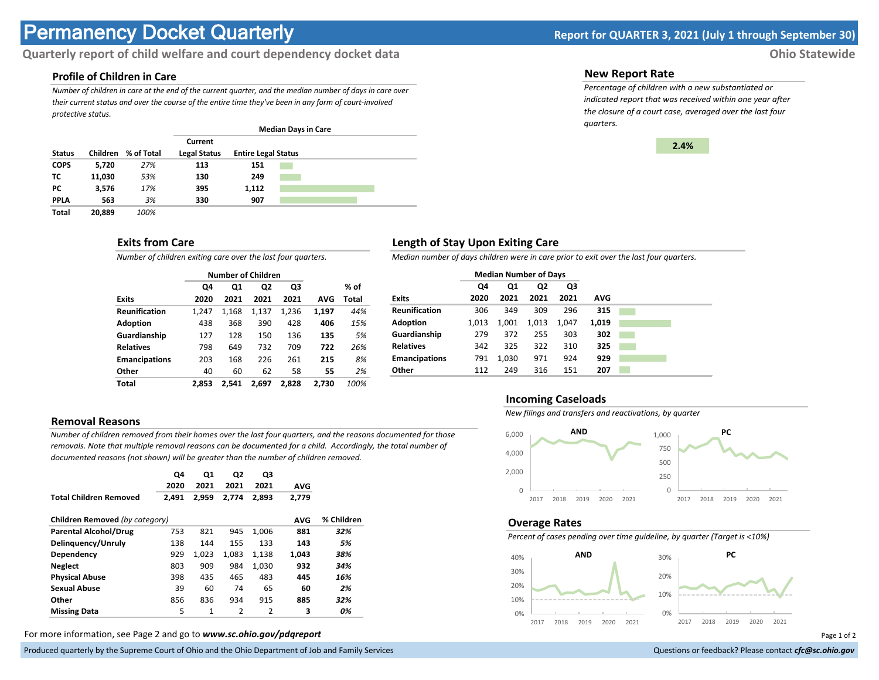# **Permanency Docket Quarterly Report for QUARTER 3, 2021 (July 1 through September 30)**

# **Quarterly report of child welfare and court dependency docket data Ohio Statewide**

#### **Profile of Children in Care**

*Number of children in care at the end of the current quarter, and the median number of days in care over their current status and over the course of the entire time they've been in any form of court-involved protective status.*

|               |        |                     | <b>Median Days in Care</b>     |                            |  |  |  |  |
|---------------|--------|---------------------|--------------------------------|----------------------------|--|--|--|--|
| <b>Status</b> |        | Children % of Total | Current<br><b>Legal Status</b> | <b>Entire Legal Status</b> |  |  |  |  |
| <b>COPS</b>   | 5,720  | 27%                 | 113                            | 151                        |  |  |  |  |
| ΤС            | 11,030 | 53%                 | 130                            | 249                        |  |  |  |  |
| PC.           | 3,576  | 17%                 | 395                            | 1,112                      |  |  |  |  |
| <b>PPLA</b>   | 563    | 3%                  | 330                            | 907                        |  |  |  |  |
| Total         | 20.889 | 100%                |                                |                            |  |  |  |  |

# **Exits from Care**

*Number of children exiting care over the last four quarters.*

|                      |       | <b>Number of Children</b> |                |       |       |       |
|----------------------|-------|---------------------------|----------------|-------|-------|-------|
|                      | Q4    | Q1                        | Q <sub>2</sub> | Q3    |       | % of  |
| <b>Exits</b>         | 2020  | 2021                      | 2021           | 2021  | AVG   | Total |
| <b>Reunification</b> | 1,247 | 1.168                     | 1,137          | 1,236 | 1,197 | 44%   |
| <b>Adoption</b>      | 438   | 368                       | 390            | 428   | 406   | 15%   |
| Guardianship         | 127   | 128                       | 150            | 136   | 135   | 5%    |
| <b>Relatives</b>     | 798   | 649                       | 732            | 709   | 722   | 26%   |
| <b>Emancipations</b> | 203   | 168                       | 226            | 261   | 215   | 8%    |
| Other                | 40    | 60                        | 62             | 58    | 55    | 2%    |
| Total                | 2.853 | 2.541                     | 2.697          | 2.828 | 2,730 | 100%  |

### **Removal Reasons**

*Number of children removed from their homes over the last four quarters, and the reasons documented for those removals. Note that multiple removal reasons can be documented for a child. Accordingly, the total number of documented reasons (not shown) will be greater than the number of children removed.* 

|                                | Q4    | Q1    | Q2    | Q3            |            |            |
|--------------------------------|-------|-------|-------|---------------|------------|------------|
|                                | 2020  | 2021  | 2021  | 2021          | <b>AVG</b> |            |
| <b>Total Children Removed</b>  | 2.491 | 2.959 | 2.774 | 2.893         | 2,779      |            |
|                                |       |       |       |               |            |            |
| Children Removed (by category) |       |       |       |               | <b>AVG</b> | % Children |
| <b>Parental Alcohol/Drug</b>   | 753   | 821   | 945   | 1.006         | 881        | 32%        |
| Delinguency/Unruly             | 138   | 144   | 155   | 133           | 143        | 5%         |
| Dependency                     | 929   | 1.023 | 1.083 | 1,138         | 1.043      | 38%        |
| <b>Neglect</b>                 | 803   | 909   | 984   | 1,030         | 932        | 34%        |
| <b>Physical Abuse</b>          | 398   | 435   | 465   | 483           | 445        | 16%        |
| <b>Sexual Abuse</b>            | 39    | 60    | 74    | 65            | 60         | 2%         |
| Other                          | 856   | 836   | 934   | 915           | 885        | 32%        |
| <b>Missing Data</b>            | 5     | 1     | 2     | $\mathfrak z$ | 3          | 0%         |

For more information, see Page 2 and go to *www.sc.ohio.gov/pdqreport* Page 1 of 2

Produced quarterly by the Supreme Court of Ohio and the Ohio Department of Job and Family Services **Department of Court Court of Court of Court of Top and Family Services** and the Ohio and the Ohio Department of Job and Fa

### **New Report Rate**

*Percentage of children with a new substantiated or indicated report that was received within one year after the closure of a court case, averaged over the last four quarters.*



# **Length of Stay Upon Exiting Care**

*Median number of days children were in care prior to exit over the last four quarters.*

|                      | <b>Median Number of Days</b> |       |       |       |            |  |
|----------------------|------------------------------|-------|-------|-------|------------|--|
|                      | Q4                           | Q1    | Q2    | Q3    |            |  |
| <b>Exits</b>         | 2020                         | 2021  | 2021  | 2021  | <b>AVG</b> |  |
| <b>Reunification</b> | 306                          | 349   | 309   | 296   | 315        |  |
| <b>Adoption</b>      | 1.013                        | 1,001 | 1,013 | 1.047 | 1,019      |  |
| Guardianship         | 279                          | 372   | 255   | 303   | 302        |  |
| <b>Relatives</b>     | 342                          | 325   | 322   | 310   | 325        |  |
| <b>Emancipations</b> | 791                          | 1,030 | 971   | 924   | 929        |  |
| Other                | 112                          | 249   | 316   | 151   | 207        |  |

#### **Incoming Caseloads**

*New filings and transfers and reactivations, by quarter*



#### **Overage Rates**

*Percent of cases pending over time guideline, by quarter (Target is <10%)*